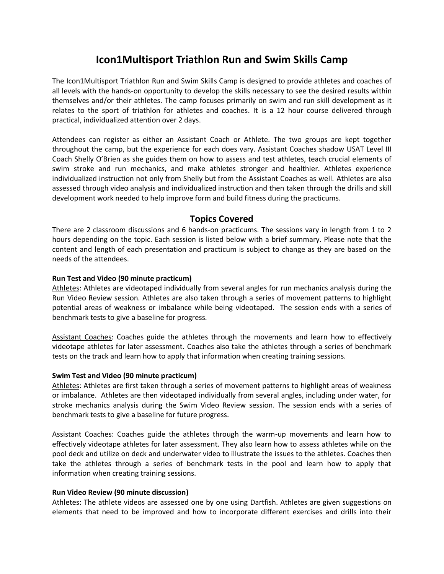# **Icon1Multisport Triathlon Run and Swim Skills Camp**

The Icon1Multisport Triathlon Run and Swim Skills Camp is designed to provide athletes and coaches of all levels with the hands-on opportunity to develop the skills necessary to see the desired results within themselves and/or their athletes. The camp focuses primarily on swim and run skill development as it relates to the sport of triathlon for athletes and coaches. It is a 12 hour course delivered through practical, individualized attention over 2 days.

Attendees can register as either an Assistant Coach or Athlete. The two groups are kept together throughout the camp, but the experience for each does vary. Assistant Coaches shadow USAT Level III Coach Shelly O'Brien as she guides them on how to assess and test athletes, teach crucial elements of swim stroke and run mechanics, and make athletes stronger and healthier. Athletes experience individualized instruction not only from Shelly but from the Assistant Coaches as well. Athletes are also assessed through video analysis and individualized instruction and then taken through the drills and skill development work needed to help improve form and build fitness during the practicums.

# **Topics Covered**

There are 2 classroom discussions and 6 hands-on practicums. The sessions vary in length from 1 to 2 hours depending on the topic. Each session is listed below with a brief summary. Please note that the content and length of each presentation and practicum is subject to change as they are based on the needs of the attendees.

# **Run Test and Video (90 minute practicum)**

Athletes: Athletes are videotaped individually from several angles for run mechanics analysis during the Run Video Review session. Athletes are also taken through a series of movement patterns to highlight potential areas of weakness or imbalance while being videotaped. The session ends with a series of benchmark tests to give a baseline for progress.

Assistant Coaches: Coaches guide the athletes through the movements and learn how to effectively videotape athletes for later assessment. Coaches also take the athletes through a series of benchmark tests on the track and learn how to apply that information when creating training sessions.

# **Swim Test and Video (90 minute practicum)**

Athletes: Athletes are first taken through a series of movement patterns to highlight areas of weakness or imbalance. Athletes are then videotaped individually from several angles, including under water, for stroke mechanics analysis during the Swim Video Review session. The session ends with a series of benchmark tests to give a baseline for future progress.

Assistant Coaches: Coaches guide the athletes through the warm-up movements and learn how to effectively videotape athletes for later assessment. They also learn how to assess athletes while on the pool deck and utilize on deck and underwater video to illustrate the issues to the athletes. Coaches then take the athletes through a series of benchmark tests in the pool and learn how to apply that information when creating training sessions.

# **Run Video Review (90 minute discussion)**

Athletes: The athlete videos are assessed one by one using Dartfish. Athletes are given suggestions on elements that need to be improved and how to incorporate different exercises and drills into their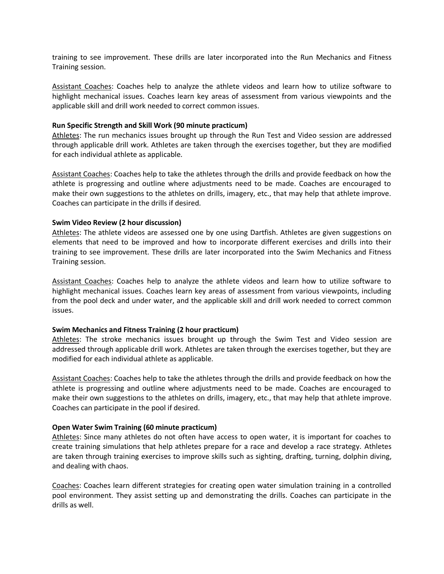training to see improvement. These drills are later incorporated into the Run Mechanics and Fitness Training session.

Assistant Coaches: Coaches help to analyze the athlete videos and learn how to utilize software to highlight mechanical issues. Coaches learn key areas of assessment from various viewpoints and the applicable skill and drill work needed to correct common issues.

#### **Run Specific Strength and Skill Work (90 minute practicum)**

Athletes: The run mechanics issues brought up through the Run Test and Video session are addressed through applicable drill work. Athletes are taken through the exercises together, but they are modified for each individual athlete as applicable.

Assistant Coaches: Coaches help to take the athletes through the drills and provide feedback on how the athlete is progressing and outline where adjustments need to be made. Coaches are encouraged to make their own suggestions to the athletes on drills, imagery, etc., that may help that athlete improve. Coaches can participate in the drills if desired.

#### **Swim Video Review (2 hour discussion)**

Athletes: The athlete videos are assessed one by one using Dartfish. Athletes are given suggestions on elements that need to be improved and how to incorporate different exercises and drills into their training to see improvement. These drills are later incorporated into the Swim Mechanics and Fitness Training session.

Assistant Coaches: Coaches help to analyze the athlete videos and learn how to utilize software to highlight mechanical issues. Coaches learn key areas of assessment from various viewpoints, including from the pool deck and under water, and the applicable skill and drill work needed to correct common issues.

#### **Swim Mechanics and Fitness Training (2 hour practicum)**

Athletes: The stroke mechanics issues brought up through the Swim Test and Video session are addressed through applicable drill work. Athletes are taken through the exercises together, but they are modified for each individual athlete as applicable.

Assistant Coaches: Coaches help to take the athletes through the drills and provide feedback on how the athlete is progressing and outline where adjustments need to be made. Coaches are encouraged to make their own suggestions to the athletes on drills, imagery, etc., that may help that athlete improve. Coaches can participate in the pool if desired.

#### **Open Water Swim Training (60 minute practicum)**

Athletes: Since many athletes do not often have access to open water, it is important for coaches to create training simulations that help athletes prepare for a race and develop a race strategy. Athletes are taken through training exercises to improve skills such as sighting, drafting, turning, dolphin diving, and dealing with chaos.

Coaches: Coaches learn different strategies for creating open water simulation training in a controlled pool environment. They assist setting up and demonstrating the drills. Coaches can participate in the drills as well.